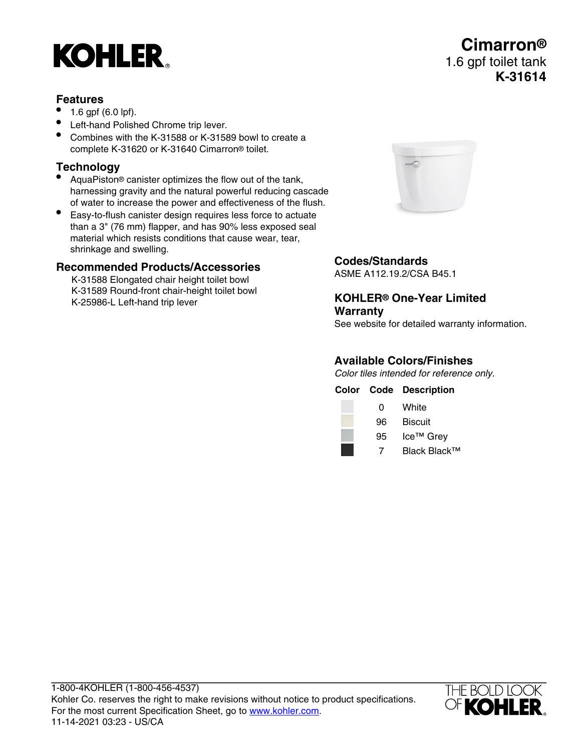# **KOHLER**

#### **Features**

- 1.6 gpf (6.0 lpf).
- Left-hand Polished Chrome trip lever.
- Combines with the K-31588 or K-31589 bowl to create a complete K-31620 or K-31640 Cimarron® toilet.

## **Technology**

- AquaPiston® canister optimizes the flow out of the tank, harnessing gravity and the natural powerful reducing cascade of water to increase the power and effectiveness of the flush.
- Easy-to-flush canister design requires less force to actuate than a 3" (76 mm) flapper, and has 90% less exposed seal material which resists conditions that cause wear, tear, shrinkage and swelling.

#### **Recommended Products/Accessories**

K-31588 Elongated chair height toilet bowl K-31589 Round-front chair-height toilet bowl K-25986-L Left-hand trip lever



### **Codes/Standards**

ASME A112.19.2/CSA B45.1

#### **KOHLER® One-Year Limited Warranty**

See website for detailed warranty information.

#### **Available Colors/Finishes**

Color tiles intended for reference only.

|    | <b>Color Code Description</b> |
|----|-------------------------------|
| 0  | White                         |
| 96 | <b>Biscuit</b>                |
| 95 | Ice <sup>™</sup> Grey         |
| 7  | Black Black™                  |



# **Cimarron®** 1.6 gpf toilet tank **K-31614**